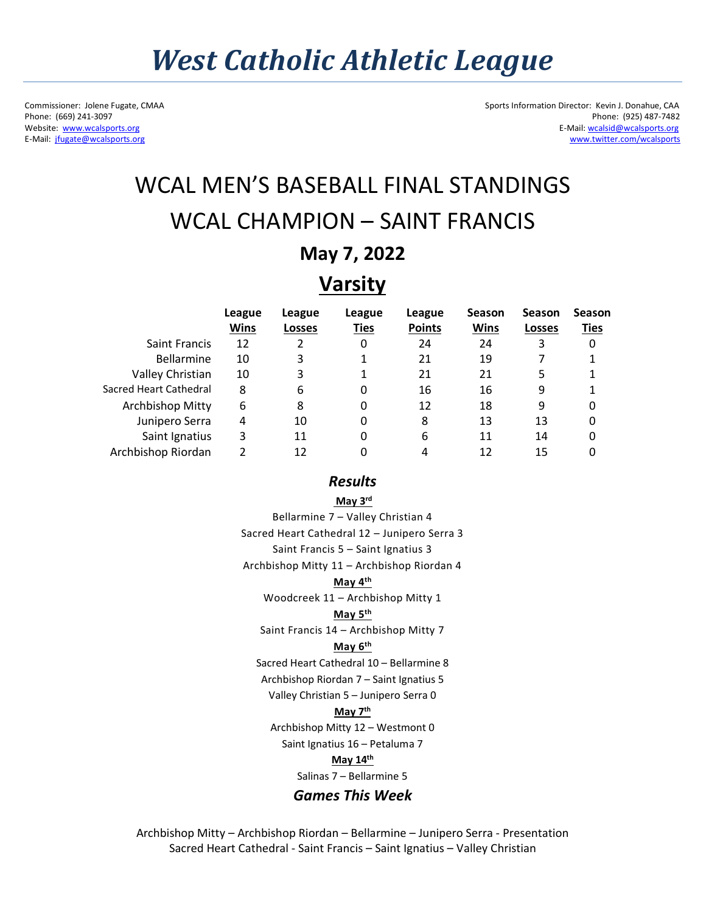E-Mail: jfugate@wcalsports.org

Commissioner: Jolene Fugate, CMAA Sports Information Director: Kevin J. Donahue, CAA<br>Phone: (669) 241-3097 Phone: (925) 487-7482 Phone: (669) 241-3097 Phone: (925) 487-7482<br>Website: www.wcalsports.org E-Mail: weakshorts.org E-Mail: weakshorts.org E-Mail: weakshorts.org E-Mail: weakshorts.org E-Mail: wcalsid@wcalsports.org<br>www.twitter.com/wcalsports

# WCAL MEN'S BASEBALL FINAL STANDINGS WCAL CHAMPION – SAINT FRANCIS

## **May 7, 2022**

# **Varsity**

|                        | League<br><b>Wins</b> | League<br>Losses | League<br><b>Ties</b> | League<br><b>Points</b> | <b>Season</b><br>Wins | <b>Season</b><br><b>Losses</b> | <b>Season</b><br>Ties |
|------------------------|-----------------------|------------------|-----------------------|-------------------------|-----------------------|--------------------------------|-----------------------|
| <b>Saint Francis</b>   | 12                    | 2                | 0                     | 24                      | 24                    | 3                              | 0                     |
| <b>Bellarmine</b>      | 10                    | 3                |                       | 21                      | 19                    |                                |                       |
| Valley Christian       | 10                    | 3                |                       | 21                      | 21                    | 5                              |                       |
| Sacred Heart Cathedral | 8                     | 6                | 0                     | 16                      | 16                    | 9                              |                       |
| Archbishop Mitty       | 6                     | 8                | 0                     | 12                      | 18                    | 9                              | 0                     |
| Junipero Serra         | 4                     | 10               | 0                     | 8                       | 13                    | 13                             | 0                     |
| Saint Ignatius         | 3                     | 11               | 0                     | 6                       | 11                    | 14                             | 0                     |
| Archbishop Riordan     | っ                     | 12               |                       |                         | 12                    | 15                             | 0                     |

### *Results*

**May 3rd**

Bellarmine 7 – Valley Christian 4 Sacred Heart Cathedral 12 – Junipero Serra 3 Saint Francis 5 – Saint Ignatius 3 Archbishop Mitty 11 – Archbishop Riordan 4 **May 4th** Woodcreek 11 – Archbishop Mitty 1 **May 5th** Saint Francis 14 – Archbishop Mitty 7 **May 6th** Sacred Heart Cathedral 10 – Bellarmine 8 Archbishop Riordan 7 – Saint Ignatius 5 Valley Christian 5 – Junipero Serra 0 **May 7th** Archbishop Mitty 12 – Westmont 0 Saint Ignatius 16 – Petaluma 7 **May 14th** Salinas 7 – Bellarmine 5 *Games This Week*

Archbishop Mitty – Archbishop Riordan – Bellarmine – Junipero Serra - Presentation Sacred Heart Cathedral - Saint Francis – Saint Ignatius – Valley Christian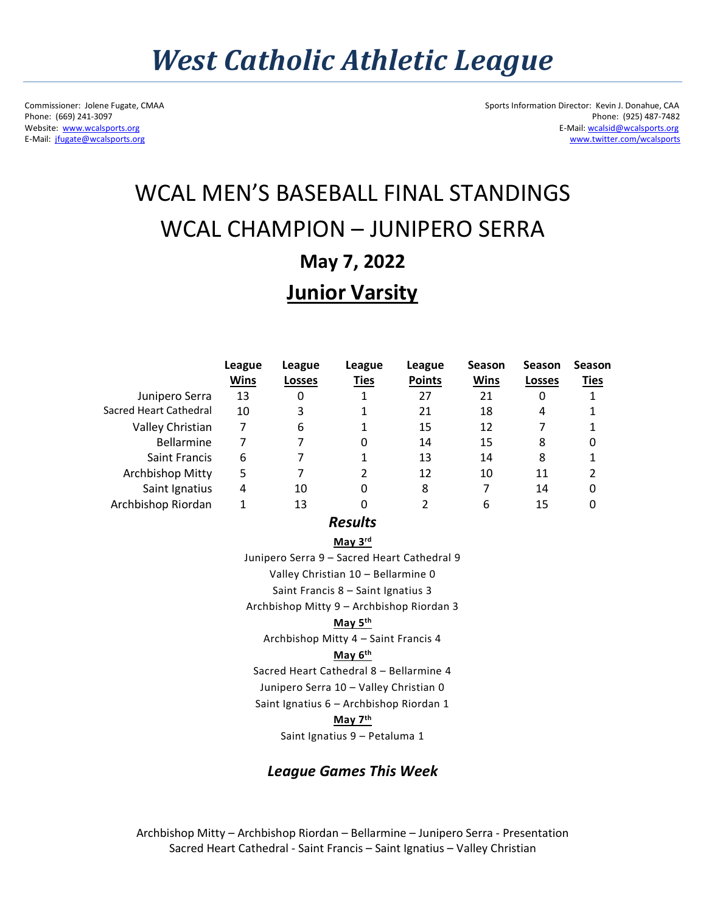# *West Catholic Athletic League*

E-Mail: jfugate@wcalsports.org

Commissioner: Jolene Fugate, CMAA Sports Information Director: Kevin J. Donahue, CAA<br>Phone: (669) 241-3097 Phone: (925) 487-7482 Phone: (669) 241-3097 Phone: (925) 487-7482<br>Website: www.wcalsports.org E-Mail: weakshorts.org E-Mail: weakshorts.org E-Mail: weakshorts.org E-Mail: weakshorts.org E-Mail: wcalsid@wcalsports.org<br>www.twitter.com/wcalsports

# WCAL MEN'S BASEBALL FINAL STANDINGS WCAL CHAMPION – JUNIPERO SERRA **May 7, 2022 Junior Varsity**

|                        | League      | League        | League      | League        | <b>Season</b> | <b>Season</b> | <b>Season</b> |
|------------------------|-------------|---------------|-------------|---------------|---------------|---------------|---------------|
|                        | <b>Wins</b> | <b>Losses</b> | <b>Ties</b> | <b>Points</b> | Wins          | <b>Losses</b> | <b>Ties</b>   |
| Junipero Serra         | 13          | 0             | 1           | 27            | 21            | 0             |               |
| Sacred Heart Cathedral | 10          | 3             |             | 21            | 18            | 4             |               |
| Valley Christian       | 7           | 6             |             | 15            | 12            |               |               |
| <b>Bellarmine</b>      | 7           |               | 0           | 14            | 15            | 8             | 0             |
| <b>Saint Francis</b>   | 6           |               |             | 13            | 14            | 8             |               |
| Archbishop Mitty       | 5           |               | 2           | 12            | 10            | 11            | 2             |
| Saint Ignatius         | 4           | 10            | 0           | 8             |               | 14            | 0             |
| Archbishop Riordan     | 1           | 13            | 0           |               | 6             | 15            | 0             |

*Results*

**May 3rd**

Junipero Serra 9 – Sacred Heart Cathedral 9

Valley Christian 10 – Bellarmine 0

Saint Francis 8 – Saint Ignatius 3

Archbishop Mitty 9 – Archbishop Riordan 3

#### **May 5th**

Archbishop Mitty 4 – Saint Francis 4

#### **May 6th**

Sacred Heart Cathedral 8 – Bellarmine 4

Junipero Serra 10 – Valley Christian 0

Saint Ignatius 6 – Archbishop Riordan 1

#### **May 7th**

Saint Ignatius 9 – Petaluma 1

## *League Games This Week*

Archbishop Mitty – Archbishop Riordan – Bellarmine – Junipero Serra - Presentation Sacred Heart Cathedral - Saint Francis – Saint Ignatius – Valley Christian